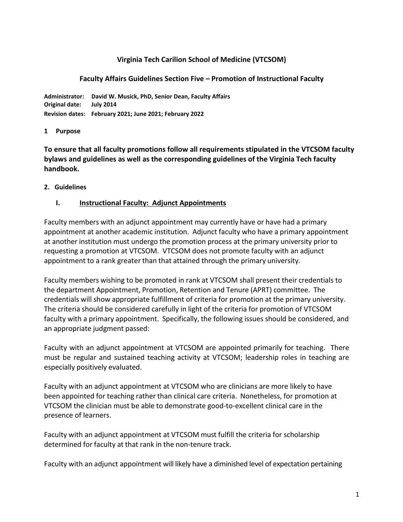## **Virginia Tech Carilion School of Medicine (VTCSOM)**

#### **Faculty Affairs Guidelines Section Five – Promotion of Instructional Faculty**

**Administrator: David W. Musick, PhD, Senior Dean, Faculty Affairs Original date: July 2014 Revision dates: February 2021; June 2021; February 2022**

#### **1 Purpose**

**To ensure that all faculty promotions follow all requirements stipulated in the VTCSOM faculty bylaws and guidelines as well as the corresponding guidelines of the Virginia Tech faculty handbook.**

#### **2. Guidelines**

#### **I. Instructional Faculty: Adjunct Appointments**

Faculty members with an adjunct appointment may currently have or have had a primary appointment at another academic institution. Adjunct faculty who have a primary appointment at another institution must undergo the promotion process at the primary university prior to requesting a promotion at VTCSOM. VTCSOM does not promote faculty with an adjunct appointment to a rank greater than that attained through the primary university.

Faculty members wishing to be promoted in rank at VTCSOM shall present their credentials to the department Appointment, Promotion, Retention and Tenure (APRT) committee. The credentials will show appropriate fulfillment of criteria for promotion at the primary university. The criteria should be considered carefully in light of the criteria for promotion of VTCSOM faculty with a primary appointment. Specifically, the following issues should be considered, and an appropriate judgment passed:

Faculty with an adjunct appointment at VTCSOM are appointed primarily for teaching. There must be regular and sustained teaching activity at VTCSOM; leadership roles in teaching are especially positively evaluated.

Faculty with an adjunct appointment at VTCSOM who are clinicians are more likely to have been appointed for teaching rather than clinical care criteria. Nonetheless, for promotion at VTCSOM the clinician must be able to demonstrate good-to-excellent clinical care in the presence of learners.

Faculty with an adjunct appointment at VTCSOM must fulfill the criteria for scholarship determined for faculty at that rank in the non-tenure track.

Faculty with an adjunct appointment will likely have a diminished level of expectation pertaining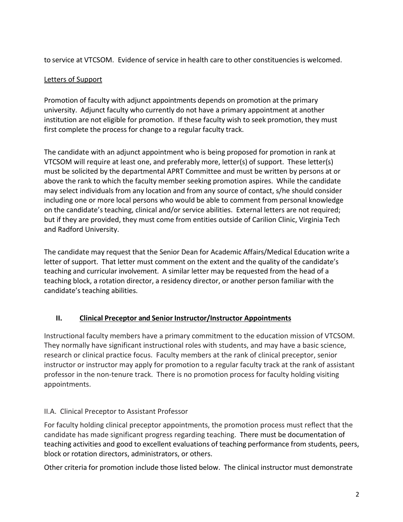to service at VTCSOM. Evidence of service in health care to other constituencies is welcomed.

# Letters of Support

Promotion of faculty with adjunct appointments depends on promotion at the primary university. Adjunct faculty who currently do not have a primary appointment at another institution are not eligible for promotion. If these faculty wish to seek promotion, they must first complete the process for change to a regular faculty track.

The candidate with an adjunct appointment who is being proposed for promotion in rank at VTCSOM will require at least one, and preferably more, letter(s) of support. These letter(s) must be solicited by the departmental APRT Committee and must be written by persons at or above the rank to which the faculty member seeking promotion aspires. While the candidate may select individuals from any location and from any source of contact, s/he should consider including one or more local persons who would be able to comment from personal knowledge on the candidate's teaching, clinical and/or service abilities. External letters are not required; but if they are provided, they must come from entities outside of Carilion Clinic, Virginia Tech and Radford University.

The candidate may request that the Senior Dean for Academic Affairs/Medical Education write a letter of support. That letter must comment on the extent and the quality of the candidate's teaching and curricular involvement. A similar letter may be requested from the head of a teaching block, a rotation director, a residency director, or another person familiar with the candidate's teaching abilities.

## **II. Clinical Preceptor and Senior Instructor/Instructor Appointments**

Instructional faculty members have a primary commitment to the education mission of VTCSOM. They normally have significant instructional roles with students, and may have a basic science, research or clinical practice focus. Faculty members at the rank of clinical preceptor, senior instructor or instructor may apply for promotion to a regular faculty track at the rank of assistant professor in the non-tenure track. There is no promotion process for faculty holding visiting appointments.

## II.A. Clinical Preceptor to Assistant Professor

For faculty holding clinical preceptor appointments, the promotion process must reflect that the candidate has made significant progress regarding teaching. There must be documentation of teaching activities and good to excellent evaluations of teaching performance from students, peers, block or rotation directors, administrators, or others.

Other criteria for promotion include those listed below. The clinical instructor must demonstrate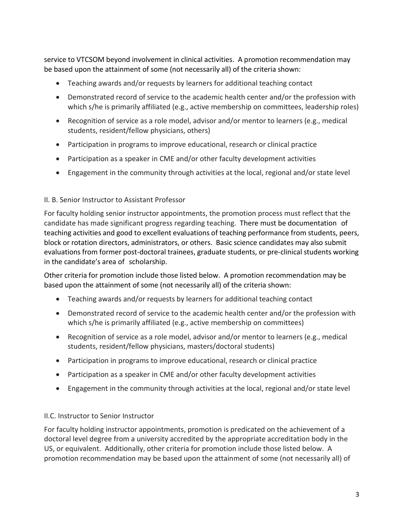service to VTCSOM beyond involvement in clinical activities. A promotion recommendation may be based upon the attainment of some (not necessarily all) of the criteria shown:

- Teaching awards and/or requests by learners for additional teaching contact
- Demonstrated record of service to the academic health center and/or the profession with which s/he is primarily affiliated (e.g., active membership on committees, leadership roles)
- Recognition of service as a role model, advisor and/or mentor to learners (e.g., medical students, resident/fellow physicians, others)
- Participation in programs to improve educational, research or clinical practice
- Participation as a speaker in CME and/or other faculty development activities
- Engagement in the community through activities at the local, regional and/or state level

## II. B. Senior Instructor to Assistant Professor

For faculty holding senior instructor appointments, the promotion process must reflect that the candidate has made significant progress regarding teaching. There must be documentation of teaching activities and good to excellent evaluations of teaching performance from students, peers, block or rotation directors, administrators, or others. Basic science candidates may also submit evaluations from former post-doctoral trainees, graduate students, or pre-clinical students working in the candidate's area of scholarship.

Other criteria for promotion include those listed below. A promotion recommendation may be based upon the attainment of some (not necessarily all) of the criteria shown:

- Teaching awards and/or requests by learners for additional teaching contact
- Demonstrated record of service to the academic health center and/or the profession with which s/he is primarily affiliated (e.g., active membership on committees)
- Recognition of service as a role model, advisor and/or mentor to learners (e.g., medical students, resident/fellow physicians, masters/doctoral students)
- Participation in programs to improve educational, research or clinical practice
- Participation as a speaker in CME and/or other faculty development activities
- Engagement in the community through activities at the local, regional and/or state level

## II.C. Instructor to Senior Instructor

For faculty holding instructor appointments, promotion is predicated on the achievement of a doctoral level degree from a university accredited by the appropriate accreditation body in the US, or equivalent. Additionally, other criteria for promotion include those listed below. A promotion recommendation may be based upon the attainment of some (not necessarily all) of